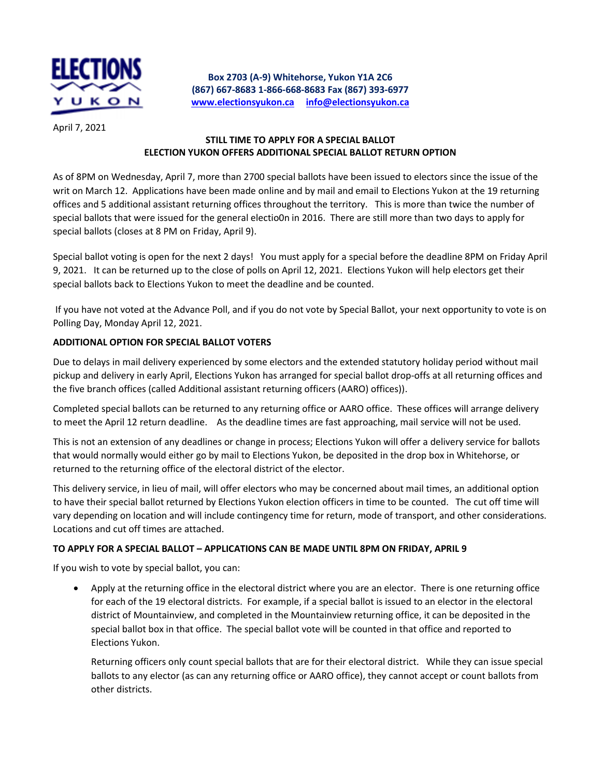

**Box 2703 (A-9) Whitehorse, Yukon Y1A 2C6 (867) 667-8683 1-866-668-8683 Fax (867) 393-6977 [www.electionsyukon.ca](http://www.electionsyukon.ca/) [info@electionsyukon.ca](mailto:info@electionsyukon.ca)**

April 7, 2021

### **STILL TIME TO APPLY FOR A SPECIAL BALLOT ELECTION YUKON OFFERS ADDITIONAL SPECIAL BALLOT RETURN OPTION**

As of 8PM on Wednesday, April 7, more than 2700 special ballots have been issued to electors since the issue of the writ on March 12. Applications have been made online and by mail and email to Elections Yukon at the 19 returning offices and 5 additional assistant returning offices throughout the territory. This is more than twice the number of special ballots that were issued for the general electio0n in 2016. There are still more than two days to apply for special ballots (closes at 8 PM on Friday, April 9).

Special ballot voting is open for the next 2 days! You must apply for a special before the deadline 8PM on Friday April 9, 2021. It can be returned up to the close of polls on April 12, 2021. Elections Yukon will help electors get their special ballots back to Elections Yukon to meet the deadline and be counted.

If you have not voted at the Advance Poll, and if you do not vote by Special Ballot, your next opportunity to vote is on Polling Day, Monday April 12, 2021.

#### **ADDITIONAL OPTION FOR SPECIAL BALLOT VOTERS**

Due to delays in mail delivery experienced by some electors and the extended statutory holiday period without mail pickup and delivery in early April, Elections Yukon has arranged for special ballot drop-offs at all returning offices and the five branch offices (called Additional assistant returning officers (AARO) offices)).

Completed special ballots can be returned to any returning office or AARO office. These offices will arrange delivery to meet the April 12 return deadline. As the deadline times are fast approaching, mail service will not be used.

This is not an extension of any deadlines or change in process; Elections Yukon will offer a delivery service for ballots that would normally would either go by mail to Elections Yukon, be deposited in the drop box in Whitehorse, or returned to the returning office of the electoral district of the elector.

This delivery service, in lieu of mail, will offer electors who may be concerned about mail times, an additional option to have their special ballot returned by Elections Yukon election officers in time to be counted. The cut off time will vary depending on location and will include contingency time for return, mode of transport, and other considerations. Locations and cut off times are attached.

## **TO APPLY FOR A SPECIAL BALLOT – APPLICATIONS CAN BE MADE UNTIL 8PM ON FRIDAY, APRIL 9**

If you wish to vote by special ballot, you can:

 Apply at the returning office in the electoral district where you are an elector. There is one returning office for each of the 19 electoral districts. For example, if a special ballot is issued to an elector in the electoral district of Mountainview, and completed in the Mountainview returning office, it can be deposited in the special ballot box in that office. The special ballot vote will be counted in that office and reported to Elections Yukon.

Returning officers only count special ballots that are for their electoral district. While they can issue special ballots to any elector (as can any returning office or AARO office), they cannot accept or count ballots from other districts.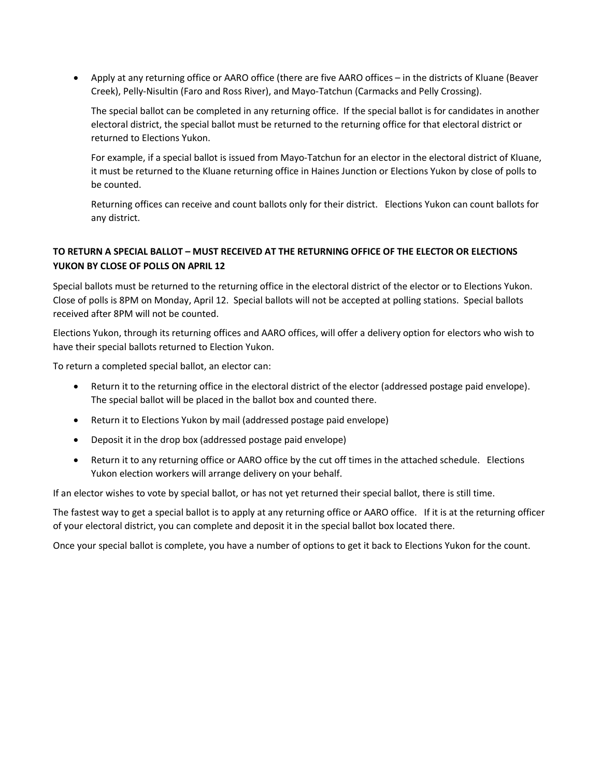Apply at any returning office or AARO office (there are five AARO offices – in the districts of Kluane (Beaver Creek), Pelly-Nisultin (Faro and Ross River), and Mayo-Tatchun (Carmacks and Pelly Crossing).

The special ballot can be completed in any returning office. If the special ballot is for candidates in another electoral district, the special ballot must be returned to the returning office for that electoral district or returned to Elections Yukon.

For example, if a special ballot is issued from Mayo-Tatchun for an elector in the electoral district of Kluane, it must be returned to the Kluane returning office in Haines Junction or Elections Yukon by close of polls to be counted.

Returning offices can receive and count ballots only for their district. Elections Yukon can count ballots for any district.

## **TO RETURN A SPECIAL BALLOT – MUST RECEIVED AT THE RETURNING OFFICE OF THE ELECTOR OR ELECTIONS YUKON BY CLOSE OF POLLS ON APRIL 12**

Special ballots must be returned to the returning office in the electoral district of the elector or to Elections Yukon. Close of polls is 8PM on Monday, April 12. Special ballots will not be accepted at polling stations. Special ballots received after 8PM will not be counted.

Elections Yukon, through its returning offices and AARO offices, will offer a delivery option for electors who wish to have their special ballots returned to Election Yukon.

To return a completed special ballot, an elector can:

- Return it to the returning office in the electoral district of the elector (addressed postage paid envelope). The special ballot will be placed in the ballot box and counted there.
- Return it to Elections Yukon by mail (addressed postage paid envelope)
- Deposit it in the drop box (addressed postage paid envelope)
- Return it to any returning office or AARO office by the cut off times in the attached schedule. Elections Yukon election workers will arrange delivery on your behalf.

If an elector wishes to vote by special ballot, or has not yet returned their special ballot, there is still time.

The fastest way to get a special ballot is to apply at any returning office or AARO office. If it is at the returning officer of your electoral district, you can complete and deposit it in the special ballot box located there.

Once your special ballot is complete, you have a number of options to get it back to Elections Yukon for the count.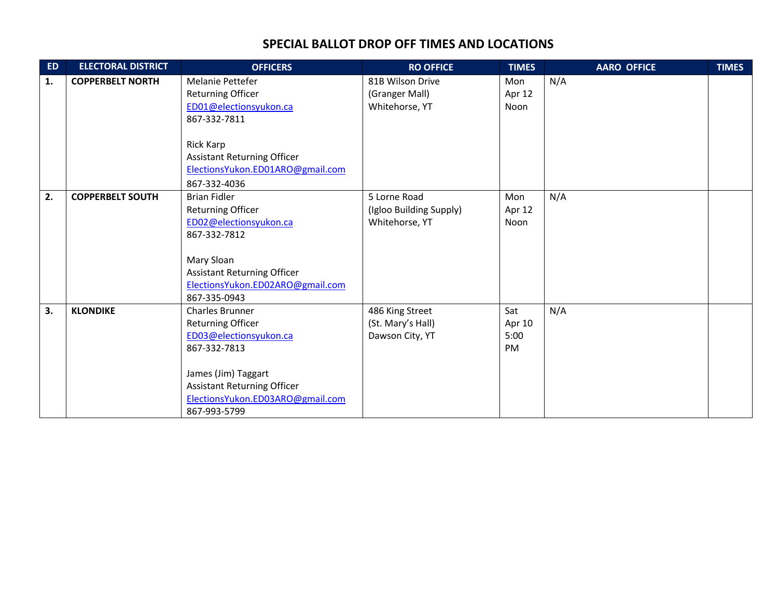# **SPECIAL BALLOT DROP OFF TIMES AND LOCATIONS**

| <b>ED</b> | <b>ELECTORAL DISTRICT</b> | <b>OFFICERS</b>                                                                                                                                                                                             | <b>RO OFFICE</b>                                          | <b>TIMES</b>                | <b>AARO OFFICE</b> | <b>TIMES</b> |
|-----------|---------------------------|-------------------------------------------------------------------------------------------------------------------------------------------------------------------------------------------------------------|-----------------------------------------------------------|-----------------------------|--------------------|--------------|
| 1.        | <b>COPPERBELT NORTH</b>   | <b>Melanie Pettefer</b><br><b>Returning Officer</b><br>ED01@electionsyukon.ca<br>867-332-7811<br><b>Rick Karp</b><br><b>Assistant Returning Officer</b><br>ElectionsYukon.ED01ARO@gmail.com<br>867-332-4036 | 81B Wilson Drive<br>(Granger Mall)<br>Whitehorse, YT      | Mon<br>Apr 12<br>Noon       | N/A                |              |
| 2.        | <b>COPPERBELT SOUTH</b>   | <b>Brian Fidler</b><br>Returning Officer<br>ED02@electionsyukon.ca<br>867-332-7812<br>Mary Sloan<br><b>Assistant Returning Officer</b><br>ElectionsYukon.ED02ARO@gmail.com<br>867-335-0943                  | 5 Lorne Road<br>(Igloo Building Supply)<br>Whitehorse, YT | Mon<br>Apr 12<br>Noon       | N/A                |              |
| 3.        | <b>KLONDIKE</b>           | Charles Brunner<br>Returning Officer<br>ED03@electionsyukon.ca<br>867-332-7813<br>James (Jim) Taggart<br><b>Assistant Returning Officer</b><br>ElectionsYukon.ED03ARO@gmail.com<br>867-993-5799             | 486 King Street<br>(St. Mary's Hall)<br>Dawson City, YT   | Sat<br>Apr 10<br>5:00<br>PM | N/A                |              |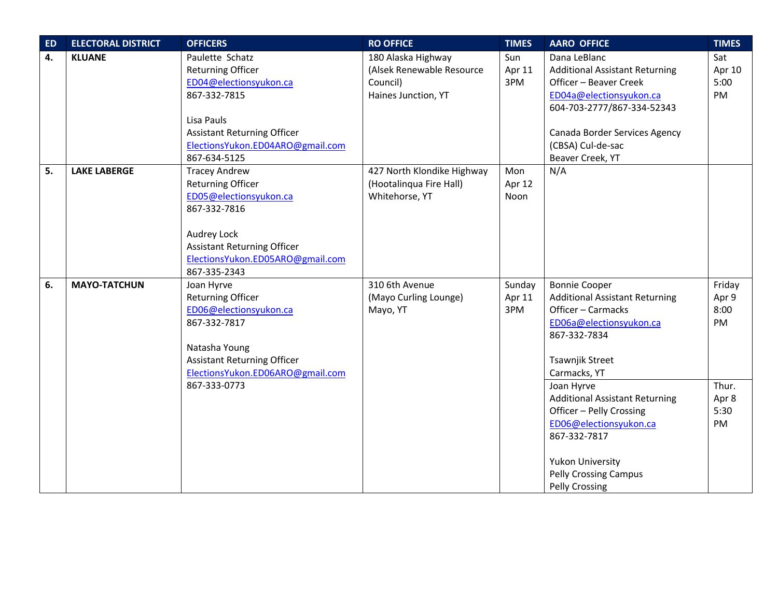| <b>ED</b> | <b>ELECTORAL DISTRICT</b> | <b>OFFICERS</b>                                                                                                                                                                                     | <b>RO OFFICE</b>                                                                   | <b>TIMES</b>            | <b>AARO OFFICE</b>                                                                                                                                                                              | <b>TIMES</b>                  |
|-----------|---------------------------|-----------------------------------------------------------------------------------------------------------------------------------------------------------------------------------------------------|------------------------------------------------------------------------------------|-------------------------|-------------------------------------------------------------------------------------------------------------------------------------------------------------------------------------------------|-------------------------------|
| 4.        | <b>KLUANE</b>             | Paulette Schatz<br><b>Returning Officer</b><br>ED04@electionsyukon.ca<br>867-332-7815<br>Lisa Pauls<br><b>Assistant Returning Officer</b>                                                           | 180 Alaska Highway<br>(Alsek Renewable Resource<br>Council)<br>Haines Junction, YT | Sun<br>Apr 11<br>3PM    | Dana LeBlanc<br><b>Additional Assistant Returning</b><br>Officer - Beaver Creek<br>ED04a@electionsyukon.ca<br>604-703-2777/867-334-52343<br>Canada Border Services Agency                       | Sat<br>Apr 10<br>5:00<br>PM   |
|           |                           | ElectionsYukon.ED04ARO@gmail.com<br>867-634-5125                                                                                                                                                    |                                                                                    |                         | (CBSA) Cul-de-sac<br>Beaver Creek, YT                                                                                                                                                           |                               |
| 5.        | <b>LAKE LABERGE</b>       | <b>Tracey Andrew</b><br><b>Returning Officer</b><br>ED05@electionsyukon.ca<br>867-332-7816<br>Audrey Lock<br><b>Assistant Returning Officer</b><br>ElectionsYukon.ED05ARO@gmail.com<br>867-335-2343 | 427 North Klondike Highway<br>(Hootalinqua Fire Hall)<br>Whitehorse, YT            | Mon<br>Apr 12<br>Noon   | N/A                                                                                                                                                                                             |                               |
| 6.        | <b>MAYO-TATCHUN</b>       | Joan Hyrve<br><b>Returning Officer</b><br>ED06@electionsyukon.ca<br>867-332-7817<br>Natasha Young<br><b>Assistant Returning Officer</b><br>ElectionsYukon.ED06ARO@gmail.com                         | 310 6th Avenue<br>(Mayo Curling Lounge)<br>Mayo, YT                                | Sunday<br>Apr 11<br>3PM | <b>Bonnie Cooper</b><br><b>Additional Assistant Returning</b><br>Officer - Carmacks<br>ED06a@electionsyukon.ca<br>867-332-7834<br>Tsawnjik Street<br>Carmacks, YT                               | Friday<br>Apr 9<br>8:00<br>PM |
|           |                           | 867-333-0773                                                                                                                                                                                        |                                                                                    |                         | Joan Hyrve<br><b>Additional Assistant Returning</b><br>Officer - Pelly Crossing<br>ED06@electionsyukon.ca<br>867-332-7817<br>Yukon University<br><b>Pelly Crossing Campus</b><br>Pelly Crossing | Thur.<br>Apr 8<br>5:30<br>PM  |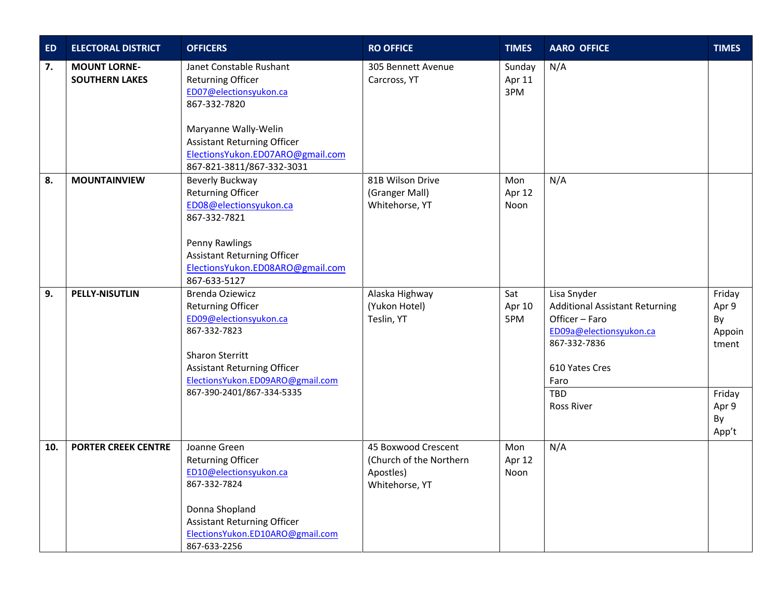| <b>ED</b> | <b>ELECTORAL DISTRICT</b>                    | <b>OFFICERS</b>                                                                                                                                                                                                              | <b>RO OFFICE</b>                                                              | <b>TIMES</b>            | <b>AARO OFFICE</b>                                                                                                                                                             | <b>TIMES</b>                                                               |
|-----------|----------------------------------------------|------------------------------------------------------------------------------------------------------------------------------------------------------------------------------------------------------------------------------|-------------------------------------------------------------------------------|-------------------------|--------------------------------------------------------------------------------------------------------------------------------------------------------------------------------|----------------------------------------------------------------------------|
| 7.        | <b>MOUNT LORNE-</b><br><b>SOUTHERN LAKES</b> | Janet Constable Rushant<br><b>Returning Officer</b><br>ED07@electionsyukon.ca<br>867-332-7820<br>Maryanne Wally-Welin<br><b>Assistant Returning Officer</b><br>ElectionsYukon.ED07ARO@gmail.com<br>867-821-3811/867-332-3031 | 305 Bennett Avenue<br>Carcross, YT                                            | Sunday<br>Apr 11<br>3PM | N/A                                                                                                                                                                            |                                                                            |
| 8.        | <b>MOUNTAINVIEW</b>                          | Beverly Buckway<br><b>Returning Officer</b><br>ED08@electionsyukon.ca<br>867-332-7821<br>Penny Rawlings<br><b>Assistant Returning Officer</b><br>ElectionsYukon.ED08ARO@gmail.com<br>867-633-5127                            | 81B Wilson Drive<br>(Granger Mall)<br>Whitehorse, YT                          | Mon<br>Apr 12<br>Noon   | N/A                                                                                                                                                                            |                                                                            |
| 9.        | <b>PELLY-NISUTLIN</b>                        | Brenda Oziewicz<br><b>Returning Officer</b><br>ED09@electionsyukon.ca<br>867-332-7823<br>Sharon Sterritt<br><b>Assistant Returning Officer</b><br>ElectionsYukon.ED09ARO@gmail.com<br>867-390-2401/867-334-5335              | Alaska Highway<br>(Yukon Hotel)<br>Teslin, YT                                 | Sat<br>Apr 10<br>5PM    | Lisa Snyder<br><b>Additional Assistant Returning</b><br>Officer - Faro<br>ED09a@electionsyukon.ca<br>867-332-7836<br>610 Yates Cres<br>Faro<br><b>TBD</b><br><b>Ross River</b> | Friday<br>Apr 9<br>By<br>Appoin<br>tment<br>Friday<br>Apr 9<br>By<br>App't |
| 10.       | <b>PORTER CREEK CENTRE</b>                   | Joanne Green<br><b>Returning Officer</b><br>ED10@electionsyukon.ca<br>867-332-7824<br>Donna Shopland<br><b>Assistant Returning Officer</b><br>ElectionsYukon.ED10ARO@gmail.com<br>867-633-2256                               | 45 Boxwood Crescent<br>(Church of the Northern<br>Apostles)<br>Whitehorse, YT | Mon<br>Apr 12<br>Noon   | N/A                                                                                                                                                                            |                                                                            |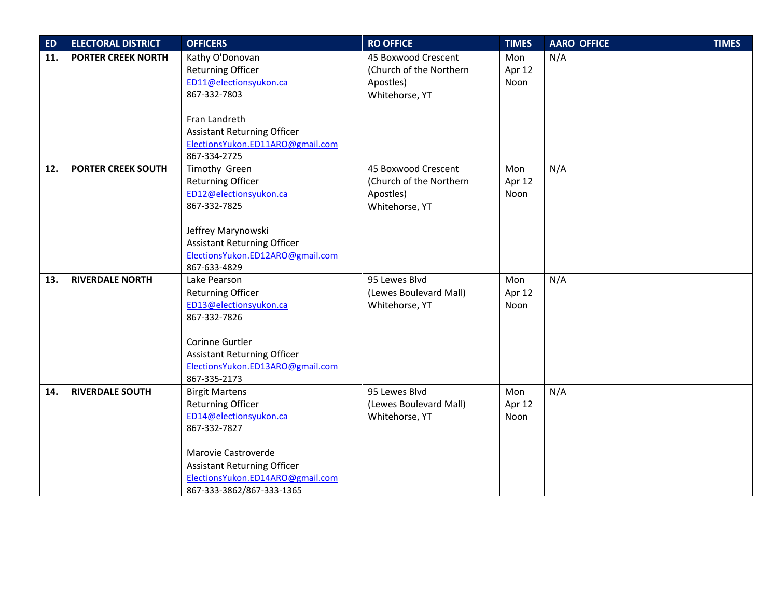| ED  | <b>ELECTORAL DISTRICT</b> | <b>OFFICERS</b>                    | <b>RO OFFICE</b>        | <b>TIMES</b> | <b>AARO OFFICE</b> | <b>TIMES</b> |
|-----|---------------------------|------------------------------------|-------------------------|--------------|--------------------|--------------|
| 11. | <b>PORTER CREEK NORTH</b> | Kathy O'Donovan                    | 45 Boxwood Crescent     | Mon          | N/A                |              |
|     |                           | <b>Returning Officer</b>           | (Church of the Northern | Apr 12       |                    |              |
|     |                           | ED11@electionsyukon.ca             | Apostles)               | Noon         |                    |              |
|     |                           | 867-332-7803                       | Whitehorse, YT          |              |                    |              |
|     |                           | Fran Landreth                      |                         |              |                    |              |
|     |                           | <b>Assistant Returning Officer</b> |                         |              |                    |              |
|     |                           | ElectionsYukon.ED11ARO@gmail.com   |                         |              |                    |              |
|     |                           | 867-334-2725                       |                         |              |                    |              |
| 12. | <b>PORTER CREEK SOUTH</b> | Timothy Green                      | 45 Boxwood Crescent     | Mon          | N/A                |              |
|     |                           | <b>Returning Officer</b>           | (Church of the Northern | Apr 12       |                    |              |
|     |                           | ED12@electionsyukon.ca             | Apostles)               | Noon         |                    |              |
|     |                           | 867-332-7825                       | Whitehorse, YT          |              |                    |              |
|     |                           |                                    |                         |              |                    |              |
|     |                           | Jeffrey Marynowski                 |                         |              |                    |              |
|     |                           | <b>Assistant Returning Officer</b> |                         |              |                    |              |
|     |                           | ElectionsYukon.ED12ARO@gmail.com   |                         |              |                    |              |
|     |                           | 867-633-4829                       |                         |              |                    |              |
| 13. | <b>RIVERDALE NORTH</b>    | Lake Pearson                       | 95 Lewes Blvd           | Mon          | N/A                |              |
|     |                           | <b>Returning Officer</b>           | (Lewes Boulevard Mall)  | Apr 12       |                    |              |
|     |                           | ED13@electionsyukon.ca             | Whitehorse, YT          | Noon         |                    |              |
|     |                           | 867-332-7826                       |                         |              |                    |              |
|     |                           |                                    |                         |              |                    |              |
|     |                           | Corinne Gurtler                    |                         |              |                    |              |
|     |                           | <b>Assistant Returning Officer</b> |                         |              |                    |              |
|     |                           | ElectionsYukon.ED13ARO@gmail.com   |                         |              |                    |              |
|     |                           | 867-335-2173                       |                         |              |                    |              |
| 14. | <b>RIVERDALE SOUTH</b>    | <b>Birgit Martens</b>              | 95 Lewes Blvd           | Mon          | N/A                |              |
|     |                           | <b>Returning Officer</b>           | (Lewes Boulevard Mall)  | Apr 12       |                    |              |
|     |                           | ED14@electionsyukon.ca             | Whitehorse, YT          | Noon         |                    |              |
|     |                           | 867-332-7827                       |                         |              |                    |              |
|     |                           | Marovie Castroverde                |                         |              |                    |              |
|     |                           | <b>Assistant Returning Officer</b> |                         |              |                    |              |
|     |                           | ElectionsYukon.ED14ARO@gmail.com   |                         |              |                    |              |
|     |                           | 867-333-3862/867-333-1365          |                         |              |                    |              |